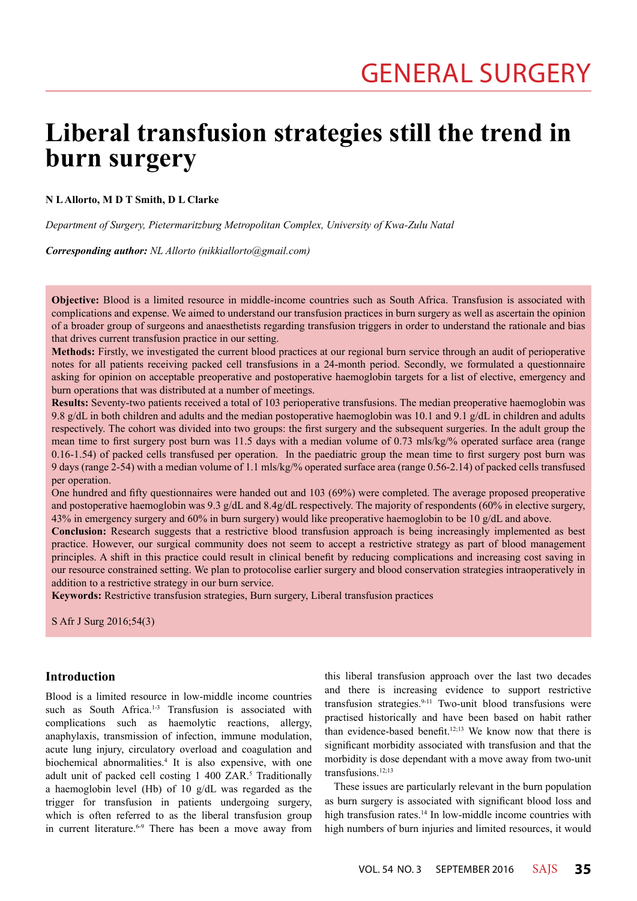# **Liberal transfusion strategies still the trend in burn surgery**

## **N L Allorto, M D T Smith, D L Clarke**

*Department of Surgery, Pietermaritzburg Metropolitan Complex, University of Kwa-Zulu Natal*

*Corresponding author: NL Allorto (nikkiallorto@gmail.com)*

**Objective:** Blood is a limited resource in middle-income countries such as South Africa. Transfusion is associated with complications and expense. We aimed to understand our transfusion practices in burn surgery as well as ascertain the opinion of a broader group of surgeons and anaesthetists regarding transfusion triggers in order to understand the rationale and bias that drives current transfusion practice in our setting.

**Methods:** Firstly, we investigated the current blood practices at our regional burn service through an audit of perioperative notes for all patients receiving packed cell transfusions in a 24-month period. Secondly, we formulated a questionnaire asking for opinion on acceptable preoperative and postoperative haemoglobin targets for a list of elective, emergency and burn operations that was distributed at a number of meetings.

**Results:** Seventy-two patients received a total of 103 perioperative transfusions. The median preoperative haemoglobin was 9.8 g/dL in both children and adults and the median postoperative haemoglobin was 10.1 and 9.1 g/dL in children and adults respectively. The cohort was divided into two groups: the first surgery and the subsequent surgeries. In the adult group the mean time to first surgery post burn was 11.5 days with a median volume of 0.73 mls/kg/% operated surface area (range 0.16-1.54) of packed cells transfused per operation. In the paediatric group the mean time to first surgery post burn was 9 days (range 2-54) with a median volume of 1.1 mls/kg/% operated surface area (range 0.56-2.14) of packed cells transfused per operation.

One hundred and fifty questionnaires were handed out and 103 (69%) were completed. The average proposed preoperative and postoperative haemoglobin was 9.3 g/dL and 8.4g/dL respectively. The majority of respondents (60% in elective surgery, 43% in emergency surgery and 60% in burn surgery) would like preoperative haemoglobin to be 10 g/dL and above.

**Conclusion:** Research suggests that a restrictive blood transfusion approach is being increasingly implemented as best practice. However, our surgical community does not seem to accept a restrictive strategy as part of blood management principles. A shift in this practice could result in clinical benefit by reducing complications and increasing cost saving in our resource constrained setting. We plan to protocolise earlier surgery and blood conservation strategies intraoperatively in addition to a restrictive strategy in our burn service.

**Keywords:** Restrictive transfusion strategies, Burn surgery, Liberal transfusion practices

S Afr J Surg 2016;54(3)

# **Introduction**

Blood is a limited resource in low-middle income countries such as South Africa.<sup>1-3</sup> Transfusion is associated with complications such as haemolytic reactions, allergy, anaphylaxis, transmission of infection, immune modulation, acute lung injury, circulatory overload and coagulation and biochemical abnormalities.<sup>4</sup> It is also expensive, with one adult unit of packed cell costing 1 400 ZAR.<sup>5</sup> Traditionally a haemoglobin level (Hb) of 10 g/dL was regarded as the trigger for transfusion in patients undergoing surgery, which is often referred to as the liberal transfusion group in current literature.<sup>6-9</sup> There has been a move away from

this liberal transfusion approach over the last two decades and there is increasing evidence to support restrictive transfusion strategies.9-11 Two-unit blood transfusions were practised historically and have been based on habit rather than evidence-based benefit.<sup>12;13</sup> We know now that there is significant morbidity associated with transfusion and that the morbidity is dose dependant with a move away from two-unit transfusions.12;13

These issues are particularly relevant in the burn population as burn surgery is associated with significant blood loss and high transfusion rates.<sup>14</sup> In low-middle income countries with high numbers of burn injuries and limited resources, it would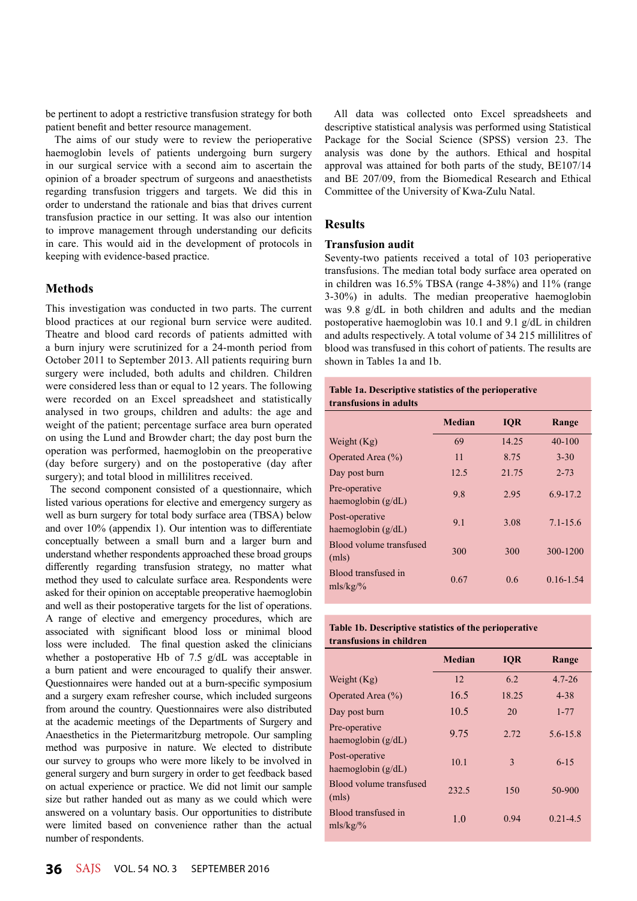be pertinent to adopt a restrictive transfusion strategy for both patient benefit and better resource management.

The aims of our study were to review the perioperative haemoglobin levels of patients undergoing burn surgery in our surgical service with a second aim to ascertain the opinion of a broader spectrum of surgeons and anaesthetists regarding transfusion triggers and targets. We did this in order to understand the rationale and bias that drives current transfusion practice in our setting. It was also our intention to improve management through understanding our deficits in care. This would aid in the development of protocols in keeping with evidence-based practice.

# **Methods**

This investigation was conducted in two parts. The current blood practices at our regional burn service were audited. Theatre and blood card records of patients admitted with a burn injury were scrutinized for a 24-month period from October 2011 to September 2013. All patients requiring burn surgery were included, both adults and children. Children were considered less than or equal to 12 years. The following were recorded on an Excel spreadsheet and statistically analysed in two groups, children and adults: the age and weight of the patient; percentage surface area burn operated on using the Lund and Browder chart; the day post burn the operation was performed, haemoglobin on the preoperative (day before surgery) and on the postoperative (day after surgery); and total blood in millilitres received.

 The second component consisted of a questionnaire, which listed various operations for elective and emergency surgery as well as burn surgery for total body surface area (TBSA) below and over 10% (appendix 1). Our intention was to differentiate conceptually between a small burn and a larger burn and understand whether respondents approached these broad groups differently regarding transfusion strategy, no matter what method they used to calculate surface area. Respondents were asked for their opinion on acceptable preoperative haemoglobin and well as their postoperative targets for the list of operations. A range of elective and emergency procedures, which are associated with significant blood loss or minimal blood loss were included. The final question asked the clinicians whether a postoperative Hb of 7.5 g/dL was acceptable in a burn patient and were encouraged to qualify their answer. Questionnaires were handed out at a burn-specific symposium and a surgery exam refresher course, which included surgeons from around the country. Questionnaires were also distributed at the academic meetings of the Departments of Surgery and Anaesthetics in the Pietermaritzburg metropole. Our sampling method was purposive in nature. We elected to distribute our survey to groups who were more likely to be involved in general surgery and burn surgery in order to get feedback based on actual experience or practice. We did not limit our sample size but rather handed out as many as we could which were answered on a voluntary basis. Our opportunities to distribute were limited based on convenience rather than the actual number of respondents.

All data was collected onto Excel spreadsheets and descriptive statistical analysis was performed using Statistical Package for the Social Science (SPSS) version 23. The analysis was done by the authors. Ethical and hospital approval was attained for both parts of the study, BE107/14 and BE 207/09, from the Biomedical Research and Ethical Committee of the University of Kwa-Zulu Natal.

## **Results**

## **Transfusion audit**

Seventy-two patients received a total of 103 perioperative transfusions. The median total body surface area operated on in children was 16.5% TBSA (range 4-38%) and 11% (range 3-30%) in adults. The median preoperative haemoglobin was 9.8 g/dL in both children and adults and the median postoperative haemoglobin was 10.1 and 9.1 g/dL in children and adults respectively. A total volume of 34 215 millilitres of blood was transfused in this cohort of patients. The results are shown in Tables 1a and 1b.

## **Table 1a. Descriptive statistics of the perioperative transfusions in adults**

|                                        | <b>Median</b> | <b>IOR</b> | Range         |
|----------------------------------------|---------------|------------|---------------|
| Weight $(Kg)$                          | 69            | 14.25      | $40 - 100$    |
| Operated Area (%)                      | 11            | 8.75       | $3 - 30$      |
| Day post burn                          | 12.5          | 21.75      | $2 - 73$      |
| Pre-operative<br>haemoglobin $(g/dL)$  | 9.8           | 2.95       | $6.9 - 17.2$  |
| Post-operative<br>haemoglobin $(g/dL)$ | 9.1           | 3.08       | $7.1 - 15.6$  |
| Blood volume transfused<br>(mls)       | 300           | 300        | 300-1200      |
| Blood transfused in<br>mls/kg/%        | 0.67          | 0.6        | $0.16 - 1.54$ |

# **Table 1b. Descriptive statistics of the perioperative transfusions in children**

|                                        | <b>Median</b> | <b>IOR</b> | Range        |
|----------------------------------------|---------------|------------|--------------|
| Weight $(Kg)$                          | 12            | 6.2        | $4.7 - 26$   |
| Operated Area (%)                      | 16.5          | 18.25      | $4 - 38$     |
| Day post burn                          | 10.5          | 20         | $1 - 77$     |
| Pre-operative<br>haemoglobin (g/dL)    | 9.75          | 2.72       | 5.6-15.8     |
| Post-operative<br>haemoglobin $(g/dL)$ | 10.1          | 3          | $6 - 15$     |
| Blood volume transfused<br>(mls)       | 232.5         | 150        | 50-900       |
| Blood transfused in<br>mls/kg/%        | 1.0           | 0.94       | $0.21 - 4.5$ |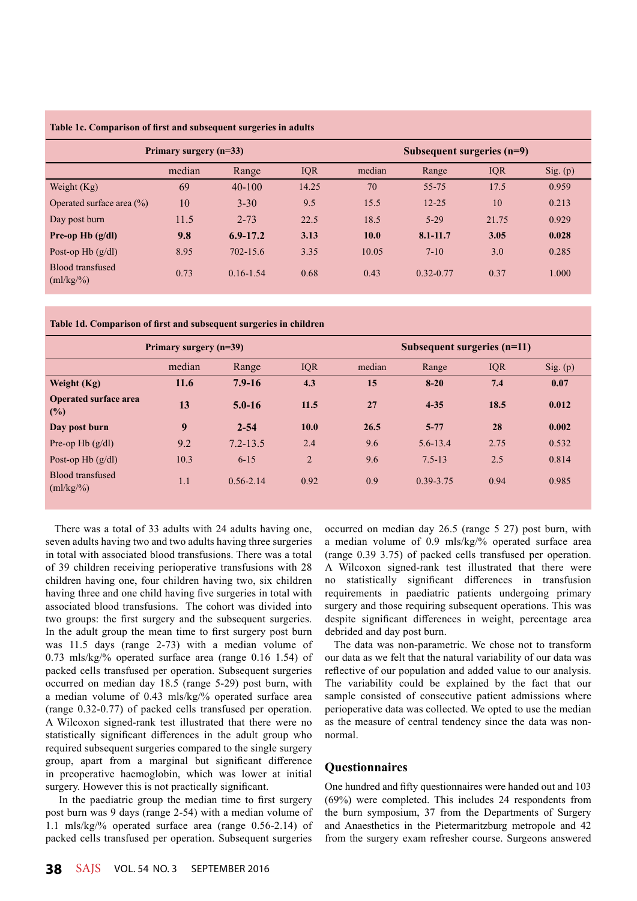| Table Ic. Comparison of first and subsequent surgeries in adults |        |               |                              |             |               |            |          |
|------------------------------------------------------------------|--------|---------------|------------------------------|-------------|---------------|------------|----------|
| Primary surgery $(n=33)$                                         |        |               | Subsequent surgeries $(n=9)$ |             |               |            |          |
|                                                                  | median | Range         | <b>IQR</b>                   | median      | Range         | <b>IQR</b> | Sig. (p) |
| Weight $(Kg)$                                                    | 69     | $40 - 100$    | 14.25                        | 70          | $55 - 75$     | 17.5       | 0.959    |
| Operated surface area $(\% )$                                    | 10     | $3 - 30$      | 9.5                          | 15.5        | $12 - 25$     | 10         | 0.213    |
| Day post burn                                                    | 11.5   | $2 - 73$      | 22.5                         | 18.5        | $5-29$        | 21.75      | 0.929    |
| Pre-op Hb $(g/dl)$                                               | 9.8    | $6.9 - 17.2$  | 3.13                         | <b>10.0</b> | $8.1 - 11.7$  | 3.05       | 0.028    |
| Post-op Hb $(g/dl)$                                              | 8.95   | $702 - 15.6$  | 3.35                         | 10.05       | $7 - 10$      | 3.0        | 0.285    |
| <b>Blood transfused</b><br>$\text{m1/kg}/\text{m}$               | 0.73   | $0.16 - 1.54$ | 0.68                         | 0.43        | $0.32 - 0.77$ | 0.37       | 1.000    |

**Table 1c. Comparison of first and subsequent surgeries in adults** 

**Table 1d. Comparison of first and subsequent surgeries in children**

| Primary surgery (n=39)                      |        |               | Subsequent surgeries $(n=11)$ |        |              |            |          |
|---------------------------------------------|--------|---------------|-------------------------------|--------|--------------|------------|----------|
|                                             | median | Range         | <b>IQR</b>                    | median | Range        | <b>IQR</b> | Sig. (p) |
| Weight (Kg)                                 | 11.6   | $7.9 - 16$    | 4.3                           | 15     | $8 - 20$     | 7.4        | 0.07     |
| <b>Operated surface area</b><br>$($ %)      | 13     | $5.0 - 16$    | 11.5                          | 27     | $4 - 35$     | 18.5       | 0.012    |
| Day post burn                               | 9      | $2 - 54$      | 10.0                          | 26.5   | $5 - 77$     | 28         | 0.002    |
| Pre-op Hb $(g/dl)$                          | 9.2    | $7.2 - 13.5$  | 2.4                           | 9.6    | $5.6 - 13.4$ | 2.75       | 0.532    |
| Post-op Hb $(g/dl)$                         | 10.3   | $6 - 15$      | $\overline{2}$                | 9.6    | $7.5 - 13$   | 2.5        | 0.814    |
| Blood transfused<br>$\text{m1/kg}/\text{m}$ | 1.1    | $0.56 - 2.14$ | 0.92                          | 0.9    | 0.39-3.75    | 0.94       | 0.985    |

There was a total of 33 adults with 24 adults having one, seven adults having two and two adults having three surgeries in total with associated blood transfusions. There was a total of 39 children receiving perioperative transfusions with 28 children having one, four children having two, six children having three and one child having five surgeries in total with associated blood transfusions. The cohort was divided into two groups: the first surgery and the subsequent surgeries. In the adult group the mean time to first surgery post burn was 11.5 days (range 2-73) with a median volume of 0.73 mls/kg/% operated surface area (range 0.16 1.54) of packed cells transfused per operation. Subsequent surgeries occurred on median day 18.5 (range 5-29) post burn, with a median volume of 0.43 mls/kg/% operated surface area (range 0.32-0.77) of packed cells transfused per operation. A Wilcoxon signed-rank test illustrated that there were no statistically significant differences in the adult group who required subsequent surgeries compared to the single surgery group, apart from a marginal but significant difference in preoperative haemoglobin, which was lower at initial surgery. However this is not practically significant.

 In the paediatric group the median time to first surgery post burn was 9 days (range 2-54) with a median volume of 1.1 mls/kg/% operated surface area (range 0.56-2.14) of packed cells transfused per operation. Subsequent surgeries

occurred on median day 26.5 (range 5 27) post burn, with a median volume of 0.9 mls/kg/% operated surface area (range 0.39 3.75) of packed cells transfused per operation. A Wilcoxon signed-rank test illustrated that there were no statistically significant differences in transfusion requirements in paediatric patients undergoing primary surgery and those requiring subsequent operations. This was despite significant differences in weight, percentage area debrided and day post burn.

The data was non-parametric. We chose not to transform our data as we felt that the natural variability of our data was reflective of our population and added value to our analysis. The variability could be explained by the fact that our sample consisted of consecutive patient admissions where perioperative data was collected. We opted to use the median as the measure of central tendency since the data was nonnormal.

# **Questionnaires**

One hundred and fifty questionnaires were handed out and 103 (69%) were completed. This includes 24 respondents from the burn symposium, 37 from the Departments of Surgery and Anaesthetics in the Pietermaritzburg metropole and 42 from the surgery exam refresher course. Surgeons answered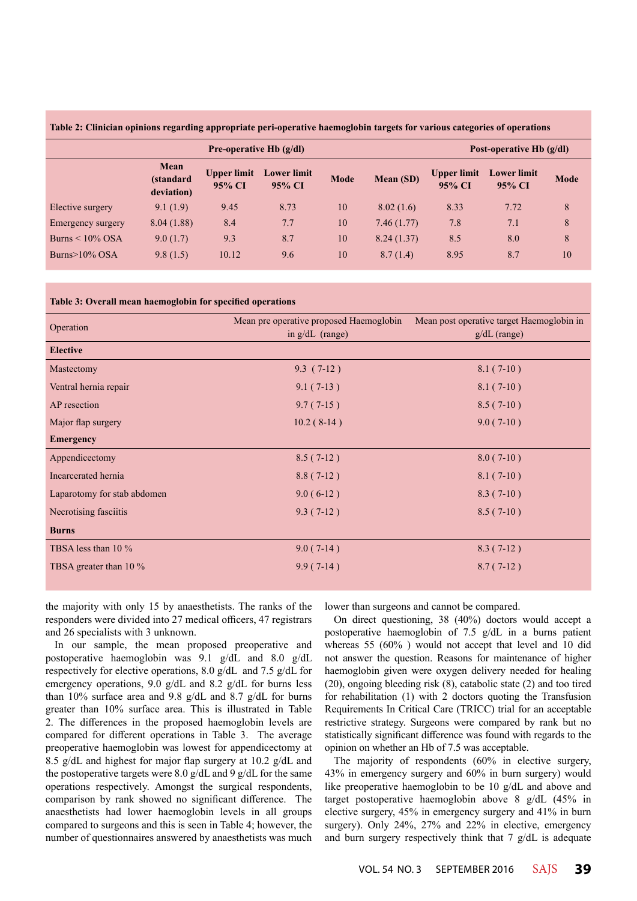**Table 2: Clinician opinions regarding appropriate peri-operative haemoglobin targets for various categories of operations**

|                       | Pre-operative Hb $(g/dl)$       |                              |                              |             | Post-operative Hb $(g/dl)$ |                              |                              |      |
|-----------------------|---------------------------------|------------------------------|------------------------------|-------------|----------------------------|------------------------------|------------------------------|------|
|                       | Mean<br>(standard<br>deviation) | <b>Upper limit</b><br>95% CI | <b>Lower limit</b><br>95% CI | <b>Mode</b> | <b>Mean (SD)</b>           | <b>Upper limit</b><br>95% CI | <b>Lower</b> limit<br>95% CI | Mode |
| Elective surgery      | 9.1(1.9)                        | 9.45                         | 8.73                         | 10          | 8.02(1.6)                  | 8.33                         | 7.72                         | 8    |
| Emergency surgery     | 8.04(1.88)                      | 8.4                          | 7.7                          | 10          | 7.46(1.77)                 | 7.8                          | 7.1                          | 8    |
| Burns $\leq 10\%$ OSA | 9.0(1.7)                        | 9.3                          | 8.7                          | 10          | 8.24(1.37)                 | 8.5                          | 8.0                          | 8    |
| Burns $>10\%$ OSA     | 9.8(1.5)                        | 10.12                        | 9.6                          | 10          | 8.7(1.4)                   | 8.95                         | 8.7                          | 10   |

#### **Table 3: Overall mean haemoglobin for specified operations**

| Operation                   | Mean pre operative proposed Haemoglobin<br>in $g/dL$ (range) | Mean post operative target Haemoglobin in<br>$g/dL$ (range) |  |  |
|-----------------------------|--------------------------------------------------------------|-------------------------------------------------------------|--|--|
| <b>Elective</b>             |                                                              |                                                             |  |  |
| Mastectomy                  | $9.3(7-12)$                                                  | $8.1(7-10)$                                                 |  |  |
| Ventral hernia repair       | $9.1(7-13)$                                                  | $8.1(7-10)$                                                 |  |  |
| AP resection                | $9.7(7-15)$                                                  | $8.5(7-10)$                                                 |  |  |
| Major flap surgery          | $10.2(8-14)$                                                 | $9.0(7-10)$                                                 |  |  |
| <b>Emergency</b>            |                                                              |                                                             |  |  |
| Appendicectomy              | $8.5(7-12)$                                                  | $8.0(7-10)$                                                 |  |  |
| Incarcerated hernia         | $8.8(7-12)$                                                  | $8.1(7-10)$                                                 |  |  |
| Laparotomy for stab abdomen | $9.0(6-12)$                                                  | $8.3(7-10)$                                                 |  |  |
| Necrotising fasciitis       | $9.3(7-12)$                                                  | $8.5(7-10)$                                                 |  |  |
| <b>Burns</b>                |                                                              |                                                             |  |  |
| TBSA less than 10 %         | $9.0(7-14)$                                                  | $8.3(7-12)$                                                 |  |  |
| TBSA greater than 10 %      | $9.9(7-14)$                                                  | $8.7(7-12)$                                                 |  |  |

the majority with only 15 by anaesthetists. The ranks of the responders were divided into 27 medical officers, 47 registrars and 26 specialists with 3 unknown.

In our sample, the mean proposed preoperative and postoperative haemoglobin was 9.1 g/dL and 8.0 g/dL respectively for elective operations, 8.0 g/dL and 7.5 g/dL for emergency operations, 9.0 g/dL and 8.2 g/dL for burns less than 10% surface area and 9.8 g/dL and 8.7 g/dL for burns greater than 10% surface area. This is illustrated in Table 2. The differences in the proposed haemoglobin levels are compared for different operations in Table 3. The average preoperative haemoglobin was lowest for appendicectomy at 8.5 g/dL and highest for major flap surgery at 10.2 g/dL and the postoperative targets were 8.0 g/dL and 9 g/dL for the same operations respectively. Amongst the surgical respondents, comparison by rank showed no significant difference. The anaesthetists had lower haemoglobin levels in all groups compared to surgeons and this is seen in Table 4; however, the number of questionnaires answered by anaesthetists was much

lower than surgeons and cannot be compared.

On direct questioning, 38 (40%) doctors would accept a postoperative haemoglobin of 7.5 g/dL in a burns patient whereas 55 (60% ) would not accept that level and 10 did not answer the question. Reasons for maintenance of higher haemoglobin given were oxygen delivery needed for healing (20), ongoing bleeding risk (8), catabolic state (2) and too tired for rehabilitation (1) with 2 doctors quoting the Transfusion Requirements In Critical Care (TRICC) trial for an acceptable restrictive strategy. Surgeons were compared by rank but no statistically significant difference was found with regards to the opinion on whether an Hb of 7.5 was acceptable.

The majority of respondents (60% in elective surgery, 43% in emergency surgery and 60% in burn surgery) would like preoperative haemoglobin to be 10 g/dL and above and target postoperative haemoglobin above 8 g/dL (45% in elective surgery, 45% in emergency surgery and 41% in burn surgery). Only 24%, 27% and 22% in elective, emergency and burn surgery respectively think that 7 g/dL is adequate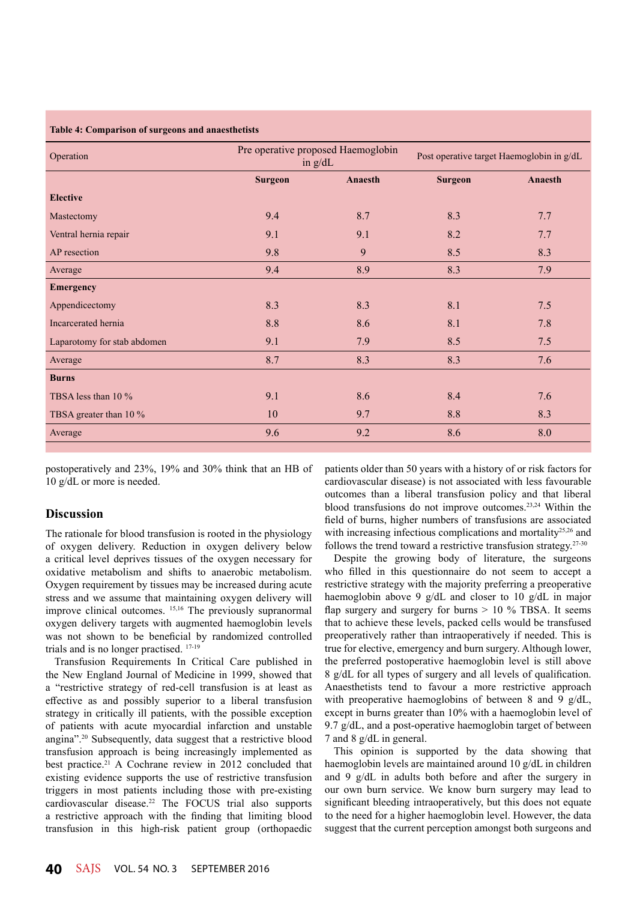#### **Table 4: Comparison of surgeons and anaesthetists**

| Operation                   |                | Pre operative proposed Haemoglobin<br>in $g/dL$ | Post operative target Haemoglobin in g/dL |         |  |
|-----------------------------|----------------|-------------------------------------------------|-------------------------------------------|---------|--|
|                             | <b>Surgeon</b> | Anaesth                                         |                                           | Anaesth |  |
| <b>Elective</b>             |                |                                                 |                                           |         |  |
| Mastectomy                  | 9.4            | 8.7                                             | 8.3                                       | 7.7     |  |
| Ventral hernia repair       | 9.1            | 9.1                                             | 8.2                                       | 7.7     |  |
| AP resection                | 9.8            | 9                                               | 8.5                                       | 8.3     |  |
| Average                     | 9.4            | 8.9                                             |                                           | 7.9     |  |
| <b>Emergency</b>            |                |                                                 |                                           |         |  |
| Appendicectomy              | 8.3            | 8.3                                             | 8.1                                       | 7.5     |  |
| Incarcerated hernia         | 8.8            | 8.6                                             | 8.1                                       | 7.8     |  |
| Laparotomy for stab abdomen | 9.1            | 7.9                                             | 8.5                                       | 7.5     |  |
| Average                     | 8.7            | 8.3                                             | 8.3                                       | 7.6     |  |
| <b>Burns</b>                |                |                                                 |                                           |         |  |
| TBSA less than 10 %         | 9.1            | 8.6                                             | 8.4                                       | 7.6     |  |
| TBSA greater than 10 %      | 10             | 9.7                                             | 8.8                                       | 8.3     |  |
| Average                     | 9.6            | 9.2                                             |                                           | 8.0     |  |
|                             |                |                                                 |                                           |         |  |

postoperatively and 23%, 19% and 30% think that an HB of 10 g/dL or more is needed.

# **Discussion**

The rationale for blood transfusion is rooted in the physiology of oxygen delivery. Reduction in oxygen delivery below a critical level deprives tissues of the oxygen necessary for oxidative metabolism and shifts to anaerobic metabolism. Oxygen requirement by tissues may be increased during acute stress and we assume that maintaining oxygen delivery will improve clinical outcomes. 15,16 The previously supranormal oxygen delivery targets with augmented haemoglobin levels was not shown to be beneficial by randomized controlled trials and is no longer practised. 17-19

Transfusion Requirements In Critical Care published in the New England Journal of Medicine in 1999, showed that a "restrictive strategy of red-cell transfusion is at least as effective as and possibly superior to a liberal transfusion strategy in critically ill patients, with the possible exception of patients with acute myocardial infarction and unstable angina".20 Subsequently, data suggest that a restrictive blood transfusion approach is being increasingly implemented as best practice.<sup>21</sup> A Cochrane review in 2012 concluded that existing evidence supports the use of restrictive transfusion triggers in most patients including those with pre-existing cardiovascular disease.22 The FOCUS trial also supports a restrictive approach with the finding that limiting blood transfusion in this high-risk patient group (orthopaedic

patients older than 50 years with a history of or risk factors for cardiovascular disease) is not associated with less favourable outcomes than a liberal transfusion policy and that liberal blood transfusions do not improve outcomes.23,24 Within the field of burns, higher numbers of transfusions are associated with increasing infectious complications and mortality<sup>25,26</sup> and follows the trend toward a restrictive transfusion strategy.27-30

Despite the growing body of literature, the surgeons who filled in this questionnaire do not seem to accept a restrictive strategy with the majority preferring a preoperative haemoglobin above 9 g/dL and closer to 10 g/dL in major flap surgery and surgery for burns  $> 10$  % TBSA. It seems that to achieve these levels, packed cells would be transfused preoperatively rather than intraoperatively if needed. This is true for elective, emergency and burn surgery. Although lower, the preferred postoperative haemoglobin level is still above 8 g/dL for all types of surgery and all levels of qualification. Anaesthetists tend to favour a more restrictive approach with preoperative haemoglobins of between 8 and 9 g/dL, except in burns greater than 10% with a haemoglobin level of 9.7 g/dL, and a post-operative haemoglobin target of between 7 and 8 g/dL in general.

This opinion is supported by the data showing that haemoglobin levels are maintained around 10 g/dL in children and 9 g/dL in adults both before and after the surgery in our own burn service. We know burn surgery may lead to significant bleeding intraoperatively, but this does not equate to the need for a higher haemoglobin level. However, the data suggest that the current perception amongst both surgeons and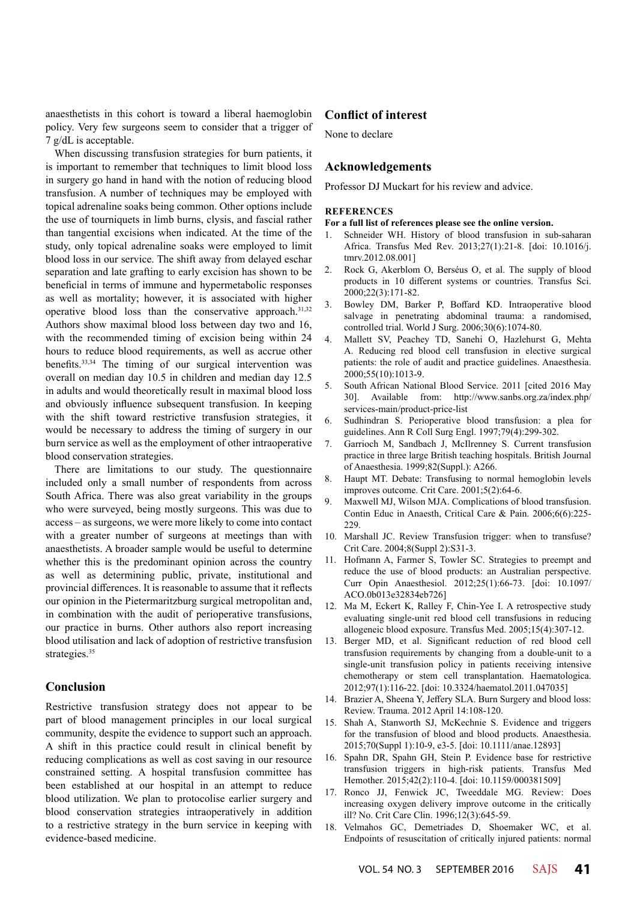anaesthetists in this cohort is toward a liberal haemoglobin policy. Very few surgeons seem to consider that a trigger of 7 g/dL is acceptable.

When discussing transfusion strategies for burn patients, it is important to remember that techniques to limit blood loss in surgery go hand in hand with the notion of reducing blood transfusion. A number of techniques may be employed with topical adrenaline soaks being common. Other options include the use of tourniquets in limb burns, clysis, and fascial rather than tangential excisions when indicated. At the time of the study, only topical adrenaline soaks were employed to limit blood loss in our service. The shift away from delayed eschar separation and late grafting to early excision has shown to be beneficial in terms of immune and hypermetabolic responses as well as mortality; however, it is associated with higher operative blood loss than the conservative approach.<sup>31,32</sup> Authors show maximal blood loss between day two and 16, with the recommended timing of excision being within 24 hours to reduce blood requirements, as well as accrue other benefits.33,34 The timing of our surgical intervention was overall on median day 10.5 in children and median day 12.5 in adults and would theoretically result in maximal blood loss and obviously influence subsequent transfusion. In keeping with the shift toward restrictive transfusion strategies, it would be necessary to address the timing of surgery in our burn service as well as the employment of other intraoperative blood conservation strategies.

There are limitations to our study. The questionnaire included only a small number of respondents from across South Africa. There was also great variability in the groups who were surveyed, being mostly surgeons. This was due to access – as surgeons, we were more likely to come into contact with a greater number of surgeons at meetings than with anaesthetists. A broader sample would be useful to determine whether this is the predominant opinion across the country as well as determining public, private, institutional and provincial differences. It is reasonable to assume that it reflects our opinion in the Pietermaritzburg surgical metropolitan and, in combination with the audit of perioperative transfusions, our practice in burns. Other authors also report increasing blood utilisation and lack of adoption of restrictive transfusion strategies.<sup>35</sup>

# **Conclusion**

Restrictive transfusion strategy does not appear to be part of blood management principles in our local surgical community, despite the evidence to support such an approach. A shift in this practice could result in clinical benefit by reducing complications as well as cost saving in our resource constrained setting. A hospital transfusion committee has been established at our hospital in an attempt to reduce blood utilization. We plan to protocolise earlier surgery and blood conservation strategies intraoperatively in addition to a restrictive strategy in the burn service in keeping with evidence-based medicine.

# **Conflict of interest**

None to declare

## **Acknowledgements**

Professor DJ Muckart for his review and advice.

### **REFERENCES**

## **For a full list of references please see the online version.**

- 1. Schneider WH. History of blood transfusion in sub-saharan Africa. Transfus Med Rev. 2013;27(1):21-8. [doi: 10.1016/j. tmrv.2012.08.001]
- 2. Rock G, Akerblom O, Berséus O, et al. The supply of blood products in 10 different systems or countries. Transfus Sci. 2000;22(3):171-82.
- 3. Bowley DM, Barker P, Boffard KD. Intraoperative blood salvage in penetrating abdominal trauma: a randomised, controlled trial. World J Surg. 2006;30(6):1074-80.
- 4. Mallett SV, Peachey TD, Sanehi O, Hazlehurst G, Mehta A. Reducing red blood cell transfusion in elective surgical patients: the role of audit and practice guidelines. Anaesthesia. 2000;55(10):1013-9.
- 5. South African National Blood Service. 2011 [cited 2016 May 30]. Available from: http://www.sanbs.org.za/index.php/ services-main/product-price-list
- 6. Sudhindran S. Perioperative blood transfusion: a plea for guidelines. Ann R Coll Surg Engl. 1997;79(4):299-302.
- 7. Garrioch M, Sandbach J, McIlrenney S. Current transfusion practice in three large British teaching hospitals. British Journal of Anaesthesia. 1999;82(Suppl.): A266.
- 8. Haupt MT. Debate: Transfusing to normal hemoglobin levels improves outcome. Crit Care. 2001;5(2):64-6.
- 9. Maxwell MJ, Wilson MJA. Complications of blood transfusion. Contin Educ in Anaesth, Critical Care & Pain. 2006;6(6):225- 229
- 10. Marshall JC. Review Transfusion trigger: when to transfuse? Crit Care. 2004;8(Suppl 2):S31-3.
- 11. Hofmann A, Farmer S, Towler SC. Strategies to preempt and reduce the use of blood products: an Australian perspective. Curr Opin Anaesthesiol. 2012;25(1):66-73. [doi: 10.1097/ ACO.0b013e32834eb726]
- 12. Ma M, Eckert K, Ralley F, Chin-Yee I. A retrospective study evaluating single-unit red blood cell transfusions in reducing allogeneic blood exposure. Transfus Med. 2005;15(4):307-12.
- 13. Berger MD, et al. Significant reduction of red blood cell transfusion requirements by changing from a double-unit to a single-unit transfusion policy in patients receiving intensive chemotherapy or stem cell transplantation. Haematologica. 2012;97(1):116-22. [doi: 10.3324/haematol.2011.047035]
- 14. Brazier A, Sheena Y, Jeffery SLA. Burn Surgery and blood loss: Review. Trauma. 2012 April 14:108-120.
- 15. Shah A, Stanworth SJ, McKechnie S. Evidence and triggers for the transfusion of blood and blood products. Anaesthesia. 2015;70(Suppl 1):10-9, e3-5. [doi: 10.1111/anae.12893]
- 16. Spahn DR, Spahn GH, Stein P. Evidence base for restrictive transfusion triggers in high-risk patients. Transfus Med Hemother. 2015;42(2):110-4. [doi: 10.1159/000381509]
- 17. Ronco JJ, Fenwick JC, Tweeddale MG. Review: Does increasing oxygen delivery improve outcome in the critically ill? No. Crit Care Clin. 1996;12(3):645-59.
- 18. Velmahos GC, Demetriades D, Shoemaker WC, et al. Endpoints of resuscitation of critically injured patients: normal